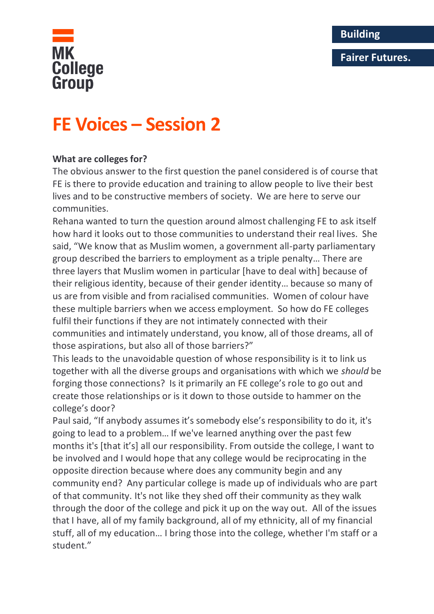## **Fairer Futures.**



# **FE Voices – Session 2**

## **What are colleges for?**

The obvious answer to the first question the panel considered is of course that FE is there to provide education and training to allow people to live their best lives and to be constructive members of society. We are here to serve our communities.

Rehana wanted to turn the question around almost challenging FE to ask itself how hard it looks out to those communities to understand their real lives. She said, "We know that as Muslim women, a government all-party parliamentary group described the barriers to employment as a triple penalty… There are three layers that Muslim women in particular [have to deal with] because of their religious identity, because of their gender identity… because so many of us are from visible and from racialised communities. Women of colour have these multiple barriers when we access employment. So how do FE colleges fulfil their functions if they are not intimately connected with their communities and intimately understand, you know, all of those dreams, all of those aspirations, but also all of those barriers?"

This leads to the unavoidable question of whose responsibility is it to link us together with all the diverse groups and organisations with which we *should* be forging those connections? Is it primarily an FE college's role to go out and create those relationships or is it down to those outside to hammer on the college's door?

Paul said, "If anybody assumes it's somebody else's responsibility to do it, it's going to lead to a problem… If we've learned anything over the past few months it's [that it's] all our responsibility. From outside the college, I want to be involved and I would hope that any college would be reciprocating in the opposite direction because where does any community begin and any community end? Any particular college is made up of individuals who are part of that community. It's not like they shed off their community as they walk through the door of the college and pick it up on the way out. All of the issues that I have, all of my family background, all of my ethnicity, all of my financial stuff, all of my education… I bring those into the college, whether I'm staff or a student."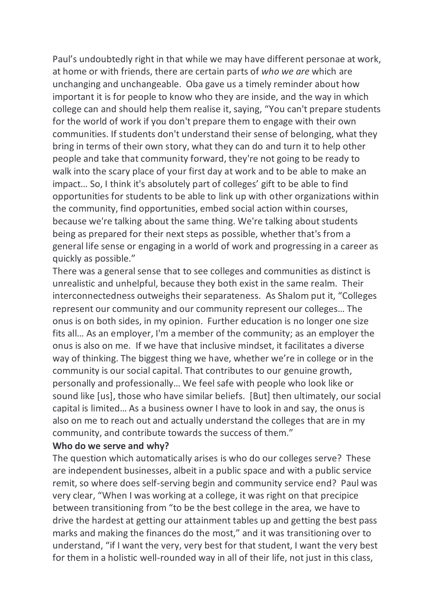Paul's undoubtedly right in that while we may have different personae at work, at home or with friends, there are certain parts of *who we are* which are unchanging and unchangeable. Oba gave us a timely reminder about how important it is for people to know who they are inside, and the way in which college can and should help them realise it, saying, "You can't prepare students for the world of work if you don't prepare them to engage with their own communities. If students don't understand their sense of belonging, what they bring in terms of their own story, what they can do and turn it to help other people and take that community forward, they're not going to be ready to walk into the scary place of your first day at work and to be able to make an impact… So, I think it's absolutely part of colleges' gift to be able to find opportunities for students to be able to link up with other organizations within the community, find opportunities, embed social action within courses, because we're talking about the same thing. We're talking about students being as prepared for their next steps as possible, whether that's from a general life sense or engaging in a world of work and progressing in a career as quickly as possible."

There was a general sense that to see colleges and communities as distinct is unrealistic and unhelpful, because they both exist in the same realm. Their interconnectedness outweighs their separateness. As Shalom put it, "Colleges represent our community and our community represent our colleges… The onus is on both sides, in my opinion. Further education is no longer one size fits all… As an employer, I'm a member of the community; as an employer the onus is also on me. If we have that inclusive mindset, it facilitates a diverse way of thinking. The biggest thing we have, whether we're in college or in the community is our social capital. That contributes to our genuine growth, personally and professionally… We feel safe with people who look like or sound like [us], those who have similar beliefs. [But] then ultimately, our social capital is limited… As a business owner I have to look in and say, the onus is also on me to reach out and actually understand the colleges that are in my community, and contribute towards the success of them."

#### **Who do we serve and why?**

The question which automatically arises is who do our colleges serve? These are independent businesses, albeit in a public space and with a public service remit, so where does self-serving begin and community service end? Paul was very clear, "When I was working at a college, it was right on that precipice between transitioning from "to be the best college in the area, we have to drive the hardest at getting our attainment tables up and getting the best pass marks and making the finances do the most," and it was transitioning over to understand, "if I want the very, very best for that student, I want the very best for them in a holistic well-rounded way in all of their life, not just in this class,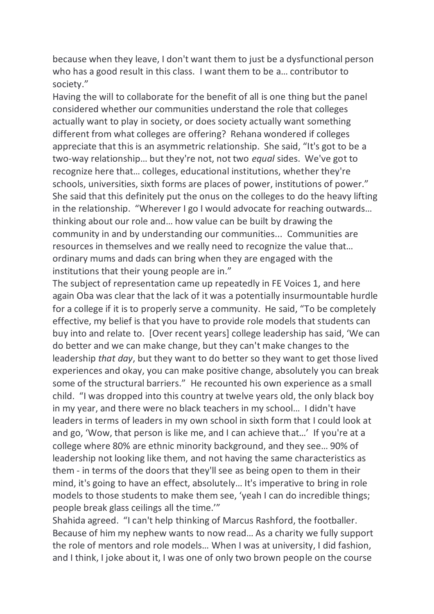because when they leave, I don't want them to just be a dysfunctional person who has a good result in this class. I want them to be a… contributor to society."

Having the will to collaborate for the benefit of all is one thing but the panel considered whether our communities understand the role that colleges actually want to play in society, or does society actually want something different from what colleges are offering? Rehana wondered if colleges appreciate that this is an asymmetric relationship. She said, "It's got to be a two-way relationship… but they're not, not two *equal* sides. We've got to recognize here that… colleges, educational institutions, whether they're schools, universities, sixth forms are places of power, institutions of power." She said that this definitely put the onus on the colleges to do the heavy lifting in the relationship. "Wherever I go I would advocate for reaching outwards… thinking about our role and… how value can be built by drawing the community in and by understanding our communities... Communities are resources in themselves and we really need to recognize the value that… ordinary mums and dads can bring when they are engaged with the institutions that their young people are in."

The subject of representation came up repeatedly in FE Voices 1, and here again Oba was clear that the lack of it was a potentially insurmountable hurdle for a college if it is to properly serve a community. He said, "To be completely effective, my belief is that you have to provide role models that students can buy into and relate to. [Over recent years] college leadership has said, 'We can do better and we can make change, but they can't make changes to the leadership *that day*, but they want to do better so they want to get those lived experiences and okay, you can make positive change, absolutely you can break some of the structural barriers." He recounted his own experience as a small child. "I was dropped into this country at twelve years old, the only black boy in my year, and there were no black teachers in my school… I didn't have leaders in terms of leaders in my own school in sixth form that I could look at and go, 'Wow, that person is like me, and I can achieve that…' If you're at a college where 80% are ethnic minority background, and they see… 90% of leadership not looking like them, and not having the same characteristics as them - in terms of the doors that they'll see as being open to them in their mind, it's going to have an effect, absolutely… It's imperative to bring in role models to those students to make them see, 'yeah I can do incredible things; people break glass ceilings all the time.'"

Shahida agreed. "I can't help thinking of Marcus Rashford, the footballer. Because of him my nephew wants to now read… As a charity we fully support the role of mentors and role models… When I was at university, I did fashion, and I think, I joke about it, I was one of only two brown people on the course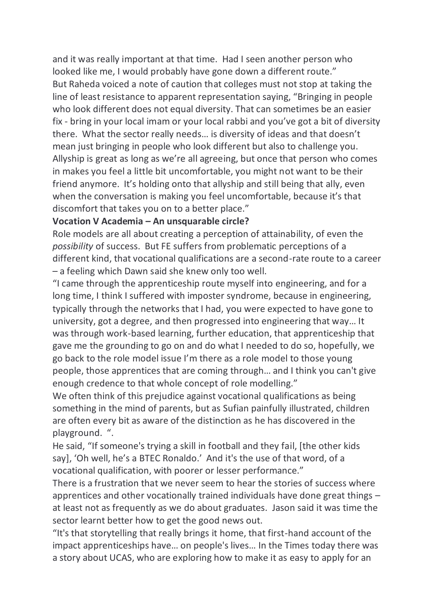and it was really important at that time. Had I seen another person who looked like me, I would probably have gone down a different route." But Raheda voiced a note of caution that colleges must not stop at taking the line of least resistance to apparent representation saying, "Bringing in people who look different does not equal diversity. That can sometimes be an easier fix - bring in your local imam or your local rabbi and you've got a bit of diversity there. What the sector really needs… is diversity of ideas and that doesn't mean just bringing in people who look different but also to challenge you. Allyship is great as long as we're all agreeing, but once that person who comes in makes you feel a little bit uncomfortable, you might not want to be their friend anymore. It's holding onto that allyship and still being that ally, even when the conversation is making you feel uncomfortable, because it's that discomfort that takes you on to a better place."

#### **Vocation V Academia – An unsquarable circle?**

Role models are all about creating a perception of attainability, of even the *possibility* of success. But FE suffers from problematic perceptions of a different kind, that vocational qualifications are a second-rate route to a career – a feeling which Dawn said she knew only too well.

"I came through the apprenticeship route myself into engineering, and for a long time, I think I suffered with imposter syndrome, because in engineering, typically through the networks that I had, you were expected to have gone to university, got a degree, and then progressed into engineering that way… It was through work-based learning, further education, that apprenticeship that gave me the grounding to go on and do what I needed to do so, hopefully, we go back to the role model issue I'm there as a role model to those young people, those apprentices that are coming through… and I think you can't give enough credence to that whole concept of role modelling."

We often think of this prejudice against vocational qualifications as being something in the mind of parents, but as Sufian painfully illustrated, children are often every bit as aware of the distinction as he has discovered in the playground. ".

He said, "If someone's trying a skill in football and they fail, [the other kids say], 'Oh well, he's a BTEC Ronaldo.' And it's the use of that word, of a vocational qualification, with poorer or lesser performance."

There is a frustration that we never seem to hear the stories of success where apprentices and other vocationally trained individuals have done great things – at least not as frequently as we do about graduates. Jason said it was time the sector learnt better how to get the good news out.

"It's that storytelling that really brings it home, that first-hand account of the impact apprenticeships have… on people's lives… In the Times today there was a story about UCAS, who are exploring how to make it as easy to apply for an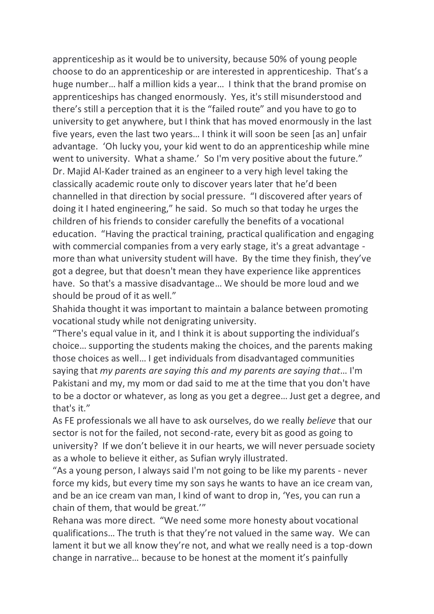apprenticeship as it would be to university, because 50% of young people choose to do an apprenticeship or are interested in apprenticeship. That's a huge number… half a million kids a year… I think that the brand promise on apprenticeships has changed enormously. Yes, it's still misunderstood and there's still a perception that it is the "failed route" and you have to go to university to get anywhere, but I think that has moved enormously in the last five years, even the last two years… I think it will soon be seen [as an] unfair advantage. 'Oh lucky you, your kid went to do an apprenticeship while mine went to university. What a shame.' So I'm very positive about the future." Dr. Majid Al-Kader trained as an engineer to a very high level taking the classically academic route only to discover years later that he'd been channelled in that direction by social pressure. "I discovered after years of doing it I hated engineering," he said. So much so that today he urges the children of his friends to consider carefully the benefits of a vocational education. "Having the practical training, practical qualification and engaging with commercial companies from a very early stage, it's a great advantage more than what university student will have. By the time they finish, they've got a degree, but that doesn't mean they have experience like apprentices have. So that's a massive disadvantage… We should be more loud and we should be proud of it as well."

Shahida thought it was important to maintain a balance between promoting vocational study while not denigrating university.

"There's equal value in it, and I think it is about supporting the individual's choice… supporting the students making the choices, and the parents making those choices as well… I get individuals from disadvantaged communities saying that *my parents are saying this and my parents are saying that*… I'm Pakistani and my, my mom or dad said to me at the time that you don't have to be a doctor or whatever, as long as you get a degree… Just get a degree, and that's it."

As FE professionals we all have to ask ourselves, do we really *believe* that our sector is not for the failed, not second-rate, every bit as good as going to university? If we don't believe it in our hearts, we will never persuade society as a whole to believe it either, as Sufian wryly illustrated.

"As a young person, I always said I'm not going to be like my parents - never force my kids, but every time my son says he wants to have an ice cream van, and be an ice cream van man, I kind of want to drop in, 'Yes, you can run a chain of them, that would be great.'"

Rehana was more direct. "We need some more honesty about vocational qualifications… The truth is that they're not valued in the same way. We can lament it but we all know they're not, and what we really need is a top-down change in narrative… because to be honest at the moment it's painfully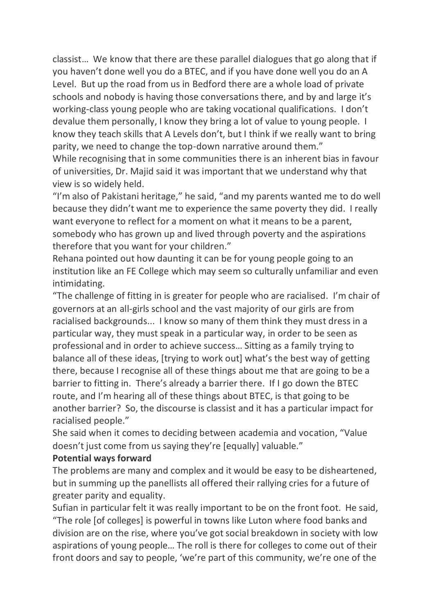classist… We know that there are these parallel dialogues that go along that if you haven't done well you do a BTEC, and if you have done well you do an A Level. But up the road from us in Bedford there are a whole load of private schools and nobody is having those conversations there, and by and large it's working-class young people who are taking vocational qualifications. I don't devalue them personally, I know they bring a lot of value to young people. I know they teach skills that A Levels don't, but I think if we really want to bring parity, we need to change the top-down narrative around them."

While recognising that in some communities there is an inherent bias in favour of universities, Dr. Majid said it was important that we understand why that view is so widely held.

"I'm also of Pakistani heritage," he said, "and my parents wanted me to do well because they didn't want me to experience the same poverty they did. I really want everyone to reflect for a moment on what it means to be a parent, somebody who has grown up and lived through poverty and the aspirations therefore that you want for your children."

Rehana pointed out how daunting it can be for young people going to an institution like an FE College which may seem so culturally unfamiliar and even intimidating.

"The challenge of fitting in is greater for people who are racialised. I'm chair of governors at an all-girls school and the vast majority of our girls are from racialised backgrounds... I know so many of them think they must dress in a particular way, they must speak in a particular way, in order to be seen as professional and in order to achieve success… Sitting as a family trying to balance all of these ideas, [trying to work out] what's the best way of getting there, because I recognise all of these things about me that are going to be a barrier to fitting in. There's already a barrier there. If I go down the BTEC route, and I'm hearing all of these things about BTEC, is that going to be another barrier? So, the discourse is classist and it has a particular impact for racialised people."

She said when it comes to deciding between academia and vocation, "Value doesn't just come from us saying they're [equally] valuable."

### **Potential ways forward**

The problems are many and complex and it would be easy to be disheartened, but in summing up the panellists all offered their rallying cries for a future of greater parity and equality.

Sufian in particular felt it was really important to be on the front foot. He said, "The role [of colleges] is powerful in towns like Luton where food banks and division are on the rise, where you've got social breakdown in society with low aspirations of young people… The roll is there for colleges to come out of their front doors and say to people, 'we're part of this community, we're one of the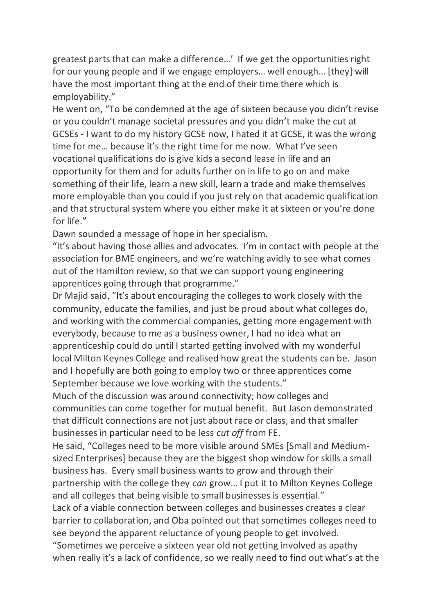greatest parts that can make a difference…' If we get the opportunities right for our young people and if we engage employers… well enough… [they] will have the most important thing at the end of their time there which is employability."

He went on, "To be condemned at the age of sixteen because you didn't revise or you couldn't manage societal pressures and you didn't make the cut at GCSEs - I want to do my history GCSE now, I hated it at GCSE, it was the wrong time for me… because it's the right time for me now. What I've seen vocational qualifications do is give kids a second lease in life and an opportunity for them and for adults further on in life to go on and make something of their life, learn a new skill, learn a trade and make themselves more employable than you could if you just rely on that academic qualification and that structural system where you either make it at sixteen or you're done for life."

Dawn sounded a message of hope in her specialism.

"It's about having those allies and advocates. I'm in contact with people at the association for BME engineers, and we're watching avidly to see what comes out of the Hamilton review, so that we can support young engineering apprentices going through that programme."

Dr Majid said, "It's about encouraging the colleges to work closely with the community, educate the families, and just be proud about what colleges do, and working with the commercial companies, getting more engagement with everybody, because to me as a business owner, I had no idea what an apprenticeship could do until I started getting involved with my wonderful local Milton Keynes College and realised how great the students can be. Jason and I hopefully are both going to employ two or three apprentices come September because we love working with the students."

Much of the discussion was around connectivity; how colleges and communities can come together for mutual benefit. But Jason demonstrated that difficult connections are not just about race or class, and that smaller businesses in particular need to be less *cut off* from FE.

He said, "Colleges need to be more visible around SMEs [Small and Mediumsized Enterprises] because they are the biggest shop window for skills a small business has. Every small business wants to grow and through their partnership with the college they *can* grow… I put it to Milton Keynes College and all colleges that being visible to small businesses is essential."

Lack of a viable connection between colleges and businesses creates a clear barrier to collaboration, and Oba pointed out that sometimes colleges need to see beyond the apparent reluctance of young people to get involved.

"Sometimes we perceive a sixteen year old not getting involved as apathy when really it's a lack of confidence, so we really need to find out what's at the